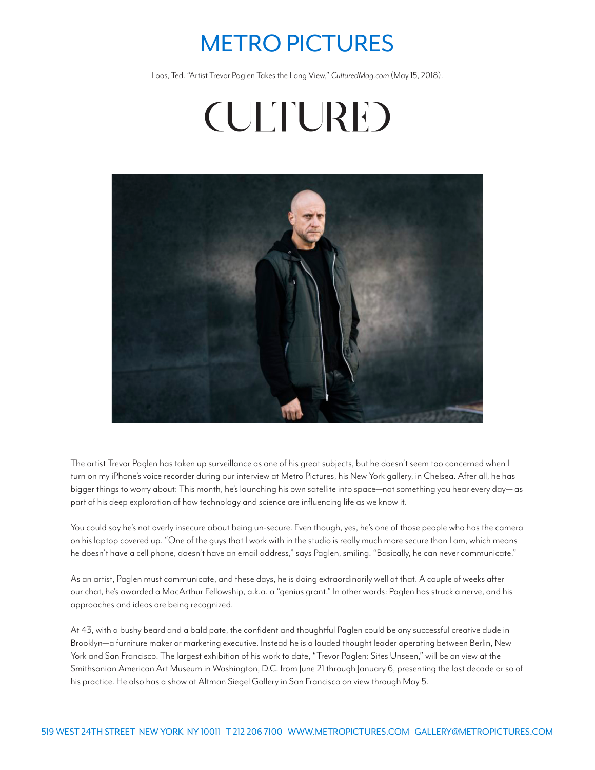## METRO PICTURES

Loos, Ted. "Artist Trevor Paglen Takes the Long View," *CulturedMag.com* (May 15, 2018).

**(ULTURE)** 



The artist Trevor Paglen has taken up surveillance as one of his great subjects, but he doesn't seem too concerned when I turn on my iPhone's voice recorder during our interview at Metro Pictures, his New York gallery, in Chelsea. After all, he has bigger things to worry about: This month, he's launching his own satellite into space—not something you hear every day— as part of his deep exploration of how technology and science are influencing life as we know it.

You could say he's not overly insecure about being un-secure. Even though, yes, he's one of those people who has the camera on his laptop covered up. "One of the guys that I work with in the studio is really much more secure than I am, which means he doesn't have a cell phone, doesn't have an email address," says Paglen, smiling. "Basically, he can never communicate."

As an artist, Paglen must communicate, and these days, he is doing extraordinarily well at that. A couple of weeks after our chat, he's awarded a MacArthur Fellowship, a.k.a. a "genius grant." In other words: Paglen has struck a nerve, and his approaches and ideas are being recognized.

At 43, with a bushy beard and a bald pate, the confident and thoughtful Paglen could be any successful creative dude in Brooklyn—a furniture maker or marketing executive. Instead he is a lauded thought leader operating between Berlin, New York and San Francisco. The largest exhibition of his work to date, "Trevor Paglen: Sites Unseen," will be on view at the Smithsonian American Art Museum in Washington, D.C. from June 21 through January 6, presenting the last decade or so of his practice. He also has a show at Altman Siegel Gallery in San Francisco on view through May 5.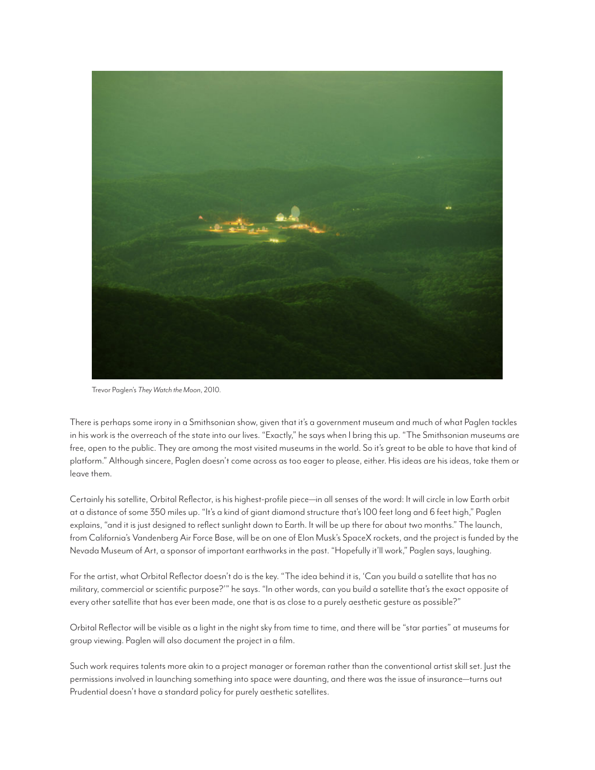

Trevor Paglen's *They Watch the Moon*, 2010.

There is perhaps some irony in a Smithsonian show, given that it's a government museum and much of what Paglen tackles in his work is the overreach of the state into our lives. "Exactly," he says when I bring this up. "The Smithsonian museums are free, open to the public. They are among the most visited museums in the world. So it's great to be able to have that kind of platform." Although sincere, Paglen doesn't come across as too eager to please, either. His ideas are his ideas, take them or leave them.

Certainly his satellite, Orbital Reflector, is his highest-profile piece—in all senses of the word: It will circle in low Earth orbit at a distance of some 350 miles up. "It's a kind of giant diamond structure that's 100 feet long and 6 feet high," Paglen explains, "and it is just designed to reflect sunlight down to Earth. It will be up there for about two months." The launch, from California's Vandenberg Air Force Base, will be on one of Elon Musk's SpaceX rockets, and the project is funded by the Nevada Museum of Art, a sponsor of important earthworks in the past. "Hopefully it'll work," Paglen says, laughing.

For the artist, what Orbital Reflector doesn't do is the key. "The idea behind it is, 'Can you build a satellite that has no military, commercial or scientific purpose?'" he says. "In other words, can you build a satellite that's the exact opposite of every other satellite that has ever been made, one that is as close to a purely aesthetic gesture as possible?"

Orbital Reflector will be visible as a light in the night sky from time to time, and there will be "star parties" at museums for group viewing. Paglen will also document the project in a film.

Such work requires talents more akin to a project manager or foreman rather than the conventional artist skill set. Just the permissions involved in launching something into space were daunting, and there was the issue of insurance—turns out Prudential doesn't have a standard policy for purely aesthetic satellites.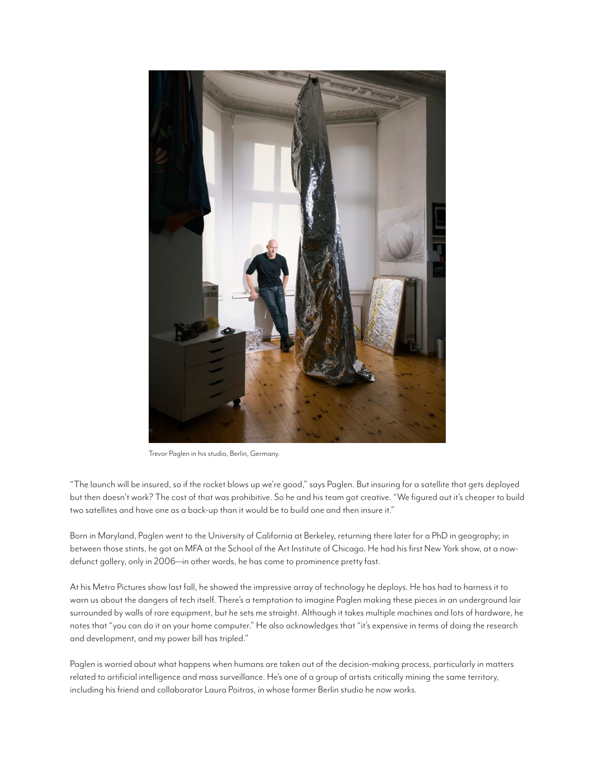

Trevor Paglen in his studio, Berlin, Germany.

"The launch will be insured, so if the rocket blows up we're good," says Paglen. But insuring for a satellite that gets deployed but then doesn't work? The cost of that was prohibitive. So he and his team got creative. "We figured out it's cheaper to build two satellites and have one as a back-up than it would be to build one and then insure it."

Born in Maryland, Paglen went to the University of California at Berkeley, returning there later for a PhD in geography; in between those stints, he got an MFA at the School of the Art Institute of Chicago. He had his first New York show, at a nowdefunct gallery, only in 2006—in other words, he has come to prominence pretty fast.

At his Metro Pictures show last fall, he showed the impressive array of technology he deploys. He has had to harness it to warn us about the dangers of tech itself. There's a temptation to imagine Paglen making these pieces in an underground lair surrounded by walls of rare equipment, but he sets me straight. Although it takes multiple machines and lots of hardware, he notes that "you can do it on your home computer." He also acknowledges that "it's expensive in terms of doing the research and development, and my power bill has tripled."

Paglen is worried about what happens when humans are taken out of the decision-making process, particularly in matters related to artificial intelligence and mass surveillance. He's one of a group of artists critically mining the same territory, including his friend and collaborator Laura Poitras, in whose former Berlin studio he now works.